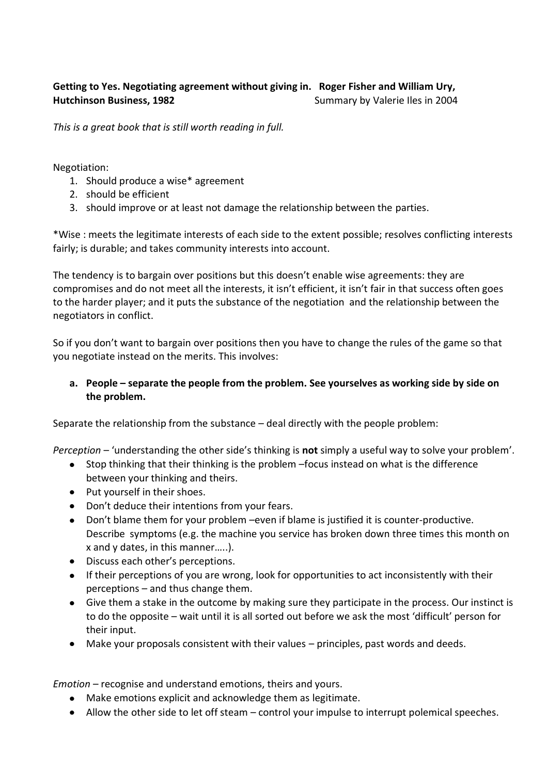## **Getting to Yes. Negotiating agreement without giving in. Roger Fisher and William Ury, Hutchinson Business, 1982 Summary by Valerie Iles in 2004**

*This is a great book that is still worth reading in full.* 

Negotiation:

- 1. Should produce a wise\* agreement
- 2. should be efficient
- 3. should improve or at least not damage the relationship between the parties.

\*Wise : meets the legitimate interests of each side to the extent possible; resolves conflicting interests fairly; is durable; and takes community interests into account.

The tendency is to bargain over positions but this doesn't enable wise agreements: they are compromises and do not meet all the interests, it isn't efficient, it isn't fair in that success often goes to the harder player; and it puts the substance of the negotiation and the relationship between the negotiators in conflict.

So if you don't want to bargain over positions then you have to change the rules of the game so that you negotiate instead on the merits. This involves:

## **a. People – separate the people from the problem. See yourselves as working side by side on the problem.**

Separate the relationship from the substance – deal directly with the people problem:

*Perception* – 'understanding the other side's thinking is **not** simply a useful way to solve your problem'.

- Stop thinking that their thinking is the problem –focus instead on what is the difference  $\bullet$ between your thinking and theirs.
- Put yourself in their shoes.
- Don't deduce their intentions from your fears.
- Don't blame them for your problem –even if blame is justified it is counter-productive.  $\bullet$ Describe symptoms (e.g. the machine you service has broken down three times this month on x and y dates, in this manner…..).
- Discuss each other's perceptions.
- If their perceptions of you are wrong, look for opportunities to act inconsistently with their perceptions – and thus change them.
- Give them a stake in the outcome by making sure they participate in the process. Our instinct is to do the opposite – wait until it is all sorted out before we ask the most 'difficult' person for their input.
- Make your proposals consistent with their values principles, past words and deeds.  $\bullet$

*Emotion* – recognise and understand emotions, theirs and yours.

- Make emotions explicit and acknowledge them as legitimate.
- Allow the other side to let off steam control your impulse to interrupt polemical speeches.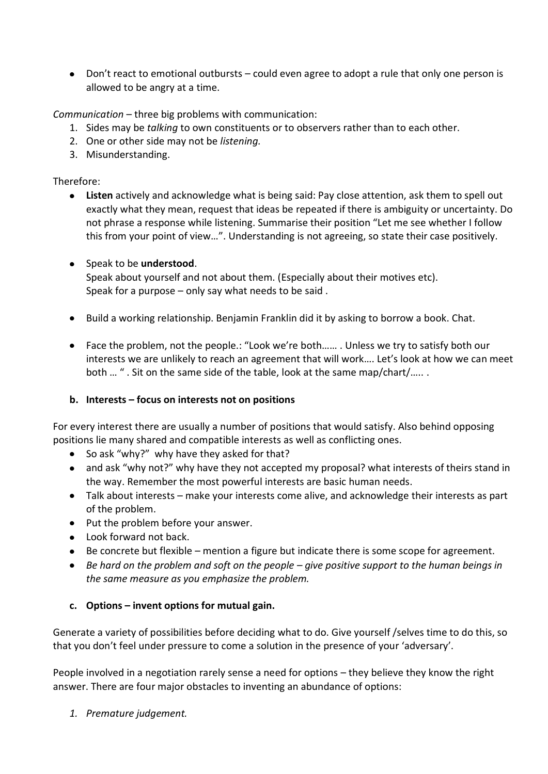Don't react to emotional outbursts – could even agree to adopt a rule that only one person is allowed to be angry at a time.

*Communication* – three big problems with communication:

- 1. Sides may be *talking* to own constituents or to observers rather than to each other.
- 2. One or other side may not be *listening.*
- 3. Misunderstanding.

# Therefore:

**Listen** actively and acknowledge what is being said: Pay close attention, ask them to spell out exactly what they mean, request that ideas be repeated if there is ambiguity or uncertainty. Do not phrase a response while listening. Summarise their position "Let me see whether I follow this from your point of view…". Understanding is not agreeing, so state their case positively.

#### Speak to be **understood**.

Speak about yourself and not about them. (Especially about their motives etc). Speak for a purpose – only say what needs to be said .

- Build a working relationship. Benjamin Franklin did it by asking to borrow a book. Chat.
- Face the problem, not the people.: "Look we're both…… . Unless we try to satisfy both our  $\bullet$ interests we are unlikely to reach an agreement that will work…. Let's look at how we can meet both … " . Sit on the same side of the table, look at the same map/chart/….. .

# **b. Interests – focus on interests not on positions**

For every interest there are usually a number of positions that would satisfy. Also behind opposing positions lie many shared and compatible interests as well as conflicting ones.

- So ask "why?" why have they asked for that?
- and ask "why not?" why have they not accepted my proposal? what interests of theirs stand in  $\bullet$ the way. Remember the most powerful interests are basic human needs.
- Talk about interests make your interests come alive, and acknowledge their interests as part of the problem.
- $\bullet$  Put the problem before your answer.
- Look forward not back.
- Be concrete but flexible mention a figure but indicate there is some scope for agreement.  $\bullet$
- $\bullet$ *Be hard on the problem and soft on the people – give positive support to the human beings in the same measure as you emphasize the problem.*

#### **c. Options – invent options for mutual gain.**

Generate a variety of possibilities before deciding what to do. Give yourself /selves time to do this, so that you don't feel under pressure to come a solution in the presence of your 'adversary'.

People involved in a negotiation rarely sense a need for options – they believe they know the right answer. There are four major obstacles to inventing an abundance of options:

*1. Premature judgement.*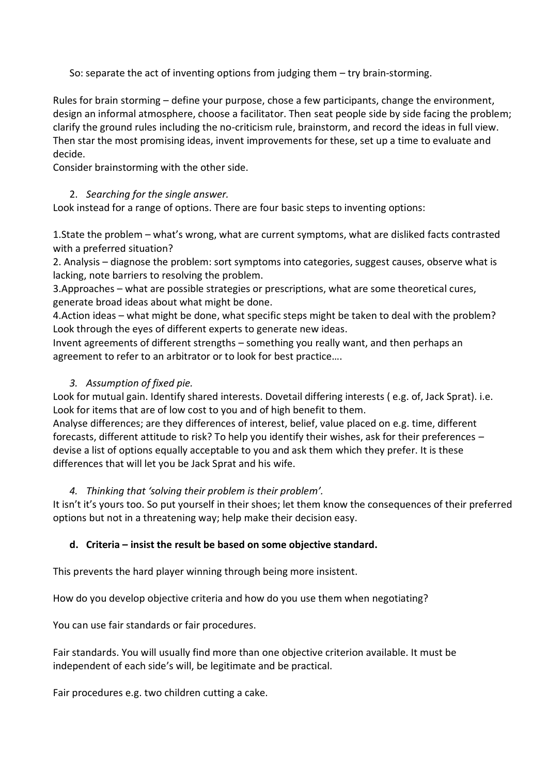So: separate the act of inventing options from judging them – try brain-storming.

Rules for brain storming – define your purpose, chose a few participants, change the environment, design an informal atmosphere, choose a facilitator. Then seat people side by side facing the problem; clarify the ground rules including the no-criticism rule, brainstorm, and record the ideas in full view. Then star the most promising ideas, invent improvements for these, set up a time to evaluate and decide.

Consider brainstorming with the other side.

# 2. *Searching for the single answer.*

Look instead for a range of options. There are four basic steps to inventing options:

1.State the problem – what's wrong, what are current symptoms, what are disliked facts contrasted with a preferred situation?

2. Analysis – diagnose the problem: sort symptoms into categories, suggest causes, observe what is lacking, note barriers to resolving the problem.

3.Approaches – what are possible strategies or prescriptions, what are some theoretical cures, generate broad ideas about what might be done.

4.Action ideas – what might be done, what specific steps might be taken to deal with the problem? Look through the eyes of different experts to generate new ideas.

Invent agreements of different strengths – something you really want, and then perhaps an agreement to refer to an arbitrator or to look for best practice….

# *3. Assumption of fixed pie.*

Look for mutual gain. Identify shared interests. Dovetail differing interests ( e.g. of, Jack Sprat). i.e. Look for items that are of low cost to you and of high benefit to them.

Analyse differences; are they differences of interest, belief, value placed on e.g. time, different forecasts, different attitude to risk? To help you identify their wishes, ask for their preferences – devise a list of options equally acceptable to you and ask them which they prefer. It is these differences that will let you be Jack Sprat and his wife.

# *4. Thinking that 'solving their problem is their problem'.*

It isn't it's yours too. So put yourself in their shoes; let them know the consequences of their preferred options but not in a threatening way; help make their decision easy.

# **d. Criteria – insist the result be based on some objective standard.**

This prevents the hard player winning through being more insistent.

How do you develop objective criteria and how do you use them when negotiating?

You can use fair standards or fair procedures.

Fair standards. You will usually find more than one objective criterion available. It must be independent of each side's will, be legitimate and be practical.

Fair procedures e.g. two children cutting a cake.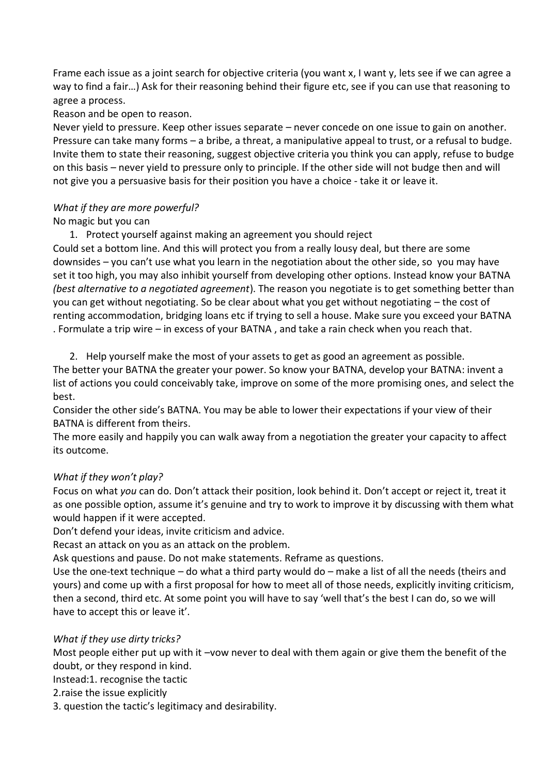Frame each issue as a joint search for objective criteria (you want x, I want y, lets see if we can agree a way to find a fair…) Ask for their reasoning behind their figure etc, see if you can use that reasoning to agree a process.

Reason and be open to reason.

Never yield to pressure. Keep other issues separate – never concede on one issue to gain on another. Pressure can take many forms – a bribe, a threat, a manipulative appeal to trust, or a refusal to budge. Invite them to state their reasoning, suggest objective criteria you think you can apply, refuse to budge on this basis – never yield to pressure only to principle. If the other side will not budge then and will not give you a persuasive basis for their position you have a choice - take it or leave it.

# *What if they are more powerful?*

# No magic but you can

1. Protect yourself against making an agreement you should reject

Could set a bottom line. And this will protect you from a really lousy deal, but there are some downsides – you can't use what you learn in the negotiation about the other side, so you may have set it too high, you may also inhibit yourself from developing other options. Instead know your BATNA *(best alternative to a negotiated agreement*). The reason you negotiate is to get something better than you can get without negotiating. So be clear about what you get without negotiating – the cost of renting accommodation, bridging loans etc if trying to sell a house. Make sure you exceed your BATNA . Formulate a trip wire – in excess of your BATNA , and take a rain check when you reach that.

2. Help yourself make the most of your assets to get as good an agreement as possible.

The better your BATNA the greater your power. So know your BATNA, develop your BATNA: invent a list of actions you could conceivably take, improve on some of the more promising ones, and select the best.

Consider the other side's BATNA. You may be able to lower their expectations if your view of their BATNA is different from theirs.

The more easily and happily you can walk away from a negotiation the greater your capacity to affect its outcome.

# *What if they won't play?*

Focus on what *you* can do. Don't attack their position, look behind it. Don't accept or reject it, treat it as one possible option, assume it's genuine and try to work to improve it by discussing with them what would happen if it were accepted.

Don't defend your ideas, invite criticism and advice.

Recast an attack on you as an attack on the problem.

Ask questions and pause. Do not make statements. Reframe as questions.

Use the one-text technique – do what a third party would do – make a list of all the needs (theirs and yours) and come up with a first proposal for how to meet all of those needs, explicitly inviting criticism, then a second, third etc. At some point you will have to say 'well that's the best I can do, so we will have to accept this or leave it'.

# *What if they use dirty tricks?*

Most people either put up with it –vow never to deal with them again or give them the benefit of the doubt, or they respond in kind.

Instead:1. recognise the tactic

2.raise the issue explicitly

3. question the tactic's legitimacy and desirability.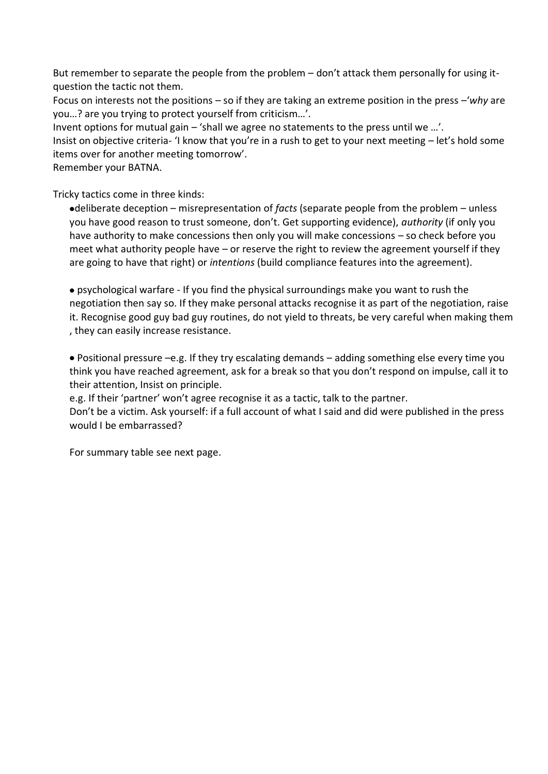But remember to separate the people from the problem – don't attack them personally for using itquestion the tactic not them.

Focus on interests not the positions – so if they are taking an extreme position in the press –'*why* are you…? are you trying to protect yourself from criticism…'.

Invent options for mutual gain – 'shall we agree no statements to the press until we …'.

Insist on objective criteria- 'I know that you're in a rush to get to your next meeting – let's hold some items over for another meeting tomorrow'.

Remember your BATNA.

Tricky tactics come in three kinds:

deliberate deception – misrepresentation of *facts* (separate people from the problem – unless you have good reason to trust someone, don't. Get supporting evidence), *authority* (if only you have authority to make concessions then only you will make concessions – so check before you meet what authority people have – or reserve the right to review the agreement yourself if they are going to have that right) or *intentions* (build compliance features into the agreement).

psychological warfare - If you find the physical surroundings make you want to rush the negotiation then say so. If they make personal attacks recognise it as part of the negotiation, raise it. Recognise good guy bad guy routines, do not yield to threats, be very careful when making them , they can easily increase resistance.

Positional pressure –e.g. If they try escalating demands – adding something else every time you think you have reached agreement, ask for a break so that you don't respond on impulse, call it to their attention, Insist on principle.

e.g. If their 'partner' won't agree recognise it as a tactic, talk to the partner.

Don't be a victim. Ask yourself: if a full account of what I said and did were published in the press would I be embarrassed?

For summary table see next page.